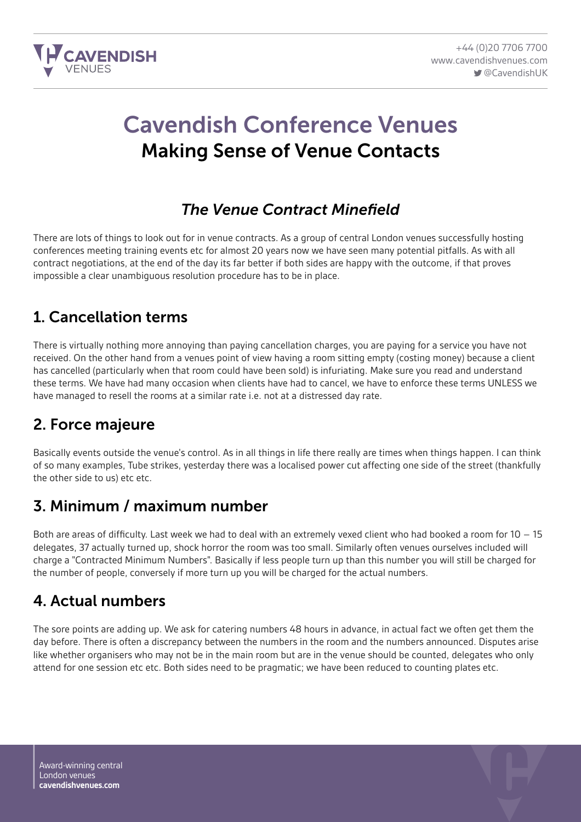

# Cavendish Conference Venues Making Sense of Venue Contacts

#### *The Venue Contract Minefield*

There are lots of things to look out for in venue contracts. As a group of central London venues successfully hosting conferences meeting training events etc for almost 20 years now we have seen many potential pitfalls. As with all contract negotiations, at the end of the day its far better if both sides are happy with the outcome, if that proves impossible a clear unambiguous resolution procedure has to be in place.

#### 1. Cancellation terms

There is virtually nothing more annoying than paying cancellation charges, you are paying for a service you have not received. On the other hand from a venues point of view having a room sitting empty (costing money) because a client has cancelled (particularly when that room could have been sold) is infuriating. Make sure you read and understand these terms. We have had many occasion when clients have had to cancel, we have to enforce these terms UNLESS we have managed to resell the rooms at a similar rate i.e. not at a distressed day rate.

#### 2. Force majeure

Basically events outside the venue's control. As in all things in life there really are times when things happen. I can think of so many examples, Tube strikes, yesterday there was a localised power cut affecting one side of the street (thankfully the other side to us) etc etc.

#### 3. Minimum / maximum number

Both are areas of difficulty. Last week we had to deal with an extremely vexed client who had booked a room for 10 – 15 delegates, 37 actually turned up, shock horror the room was too small. Similarly often venues ourselves included will charge a "Contracted Minimum Numbers". Basically if less people turn up than this number you will still be charged for the number of people, conversely if more turn up you will be charged for the actual numbers.

#### 4. Actual numbers

The sore points are adding up. We ask for catering numbers 48 hours in advance, in actual fact we often get them the day before. There is often a discrepancy between the numbers in the room and the numbers announced. Disputes arise like whether organisers who may not be in the main room but are in the venue should be counted, delegates who only attend for one session etc etc. Both sides need to be pragmatic; we have been reduced to counting plates etc.